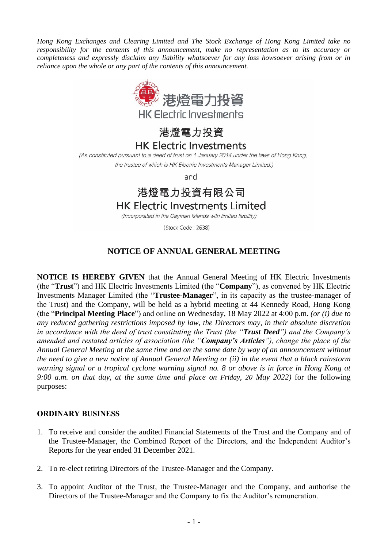*Hong Kong Exchanges and Clearing Limited and The Stock Exchange of Hong Kong Limited take no responsibility for the contents of this announcement, make no representation as to its accuracy or completeness and expressly disclaim any liability whatsoever for any loss howsoever arising from or in reliance upon the whole or any part of the contents of this announcement.* 



港燈電力投資

### **HK Electric Investments**

(As constituted pursuant to a deed of trust on 1 January 2014 under the laws of Hong Kong,

the trustee of which is HK Electric Investments Manager Limited.)

and

# 港燈電力投資有限公司

## **HK Electric Investments Limited**

(Incorporated in the Cayman Islands with limited liability)

(Stock Code: 2638)

### **NOTICE OF ANNUAL GENERAL MEETING**

**NOTICE IS HEREBY GIVEN** that the Annual General Meeting of HK Electric Investments (the "**Trust**") and HK Electric Investments Limited (the "**Company**"), as convened by HK Electric Investments Manager Limited (the "**Trustee-Manager**", in its capacity as the trustee-manager of the Trust) and the Company, will be held as a hybrid meeting at 44 Kennedy Road, Hong Kong (the "**Principal Meeting Place**") and online on Wednesday, 18 May 2022 at 4:00 p.m. *(or (i) due to any reduced gathering restrictions imposed by law, the Directors may, in their absolute discretion in accordance with the deed of trust constituting the Trust (the "Trust Deed") and the Company's amended and restated articles of association (the "Company's Articles"), change the place of the Annual General Meeting at the same time and on the same date by way of an announcement without the need to give a new notice of Annual General Meeting or (ii) in the event that a black rainstorm warning signal or a tropical cyclone warning signal no. 8 or above is in force in Hong Kong at 9:00 a.m. on that day, at the same time and place on Friday, 20 May 2022)* for the following purposes:

### **ORDINARY BUSINESS**

- 1. To receive and consider the audited Financial Statements of the Trust and the Company and of the Trustee-Manager, the Combined Report of the Directors, and the Independent Auditor's Reports for the year ended 31 December 2021.
- 2. To re-elect retiring Directors of the Trustee-Manager and the Company.
- 3. To appoint Auditor of the Trust, the Trustee-Manager and the Company, and authorise the Directors of the Trustee-Manager and the Company to fix the Auditor's remuneration.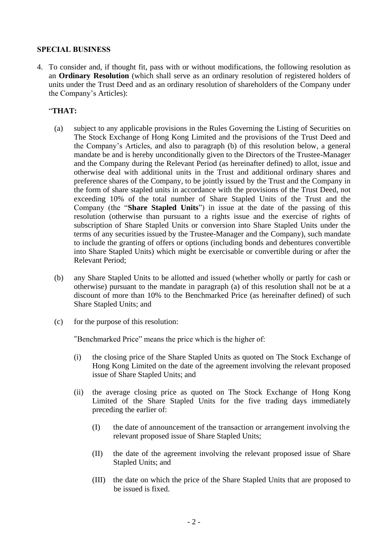### **SPECIAL BUSINESS**

4. To consider and, if thought fit, pass with or without modifications, the following resolution as an **Ordinary Resolution** (which shall serve as an ordinary resolution of registered holders of units under the Trust Deed and as an ordinary resolution of shareholders of the Company under the Company's Articles):

### "**THAT:**

- (a) subject to any applicable provisions in the Rules Governing the Listing of Securities on The Stock Exchange of Hong Kong Limited and the provisions of the Trust Deed and the Company's Articles, and also to paragraph (b) of this resolution below, a general mandate be and is hereby unconditionally given to the Directors of the Trustee-Manager and the Company during the Relevant Period (as hereinafter defined) to allot, issue and otherwise deal with additional units in the Trust and additional ordinary shares and preference shares of the Company, to be jointly issued by the Trust and the Company in the form of share stapled units in accordance with the provisions of the Trust Deed, not exceeding 10% of the total number of Share Stapled Units of the Trust and the Company (the "**Share Stapled Units**") in issue at the date of the passing of this resolution (otherwise than pursuant to a rights issue and the exercise of rights of subscription of Share Stapled Units or conversion into Share Stapled Units under the terms of any securities issued by the Trustee-Manager and the Company), such mandate to include the granting of offers or options (including bonds and debentures convertible into Share Stapled Units) which might be exercisable or convertible during or after the Relevant Period;
- (b) any Share Stapled Units to be allotted and issued (whether wholly or partly for cash or otherwise) pursuant to the mandate in paragraph (a) of this resolution shall not be at a discount of more than 10% to the Benchmarked Price (as hereinafter defined) of such Share Stapled Units; and
- (c) for the purpose of this resolution:

"Benchmarked Price" means the price which is the higher of:

- (i) the closing price of the Share Stapled Units as quoted on The Stock Exchange of Hong Kong Limited on the date of the agreement involving the relevant proposed issue of Share Stapled Units; and
- (ii) the average closing price as quoted on The Stock Exchange of Hong Kong Limited of the Share Stapled Units for the five trading days immediately preceding the earlier of:
	- (I) the date of announcement of the transaction or arrangement involving the relevant proposed issue of Share Stapled Units;
	- (II) the date of the agreement involving the relevant proposed issue of Share Stapled Units; and
	- (III) the date on which the price of the Share Stapled Units that are proposed to be issued is fixed.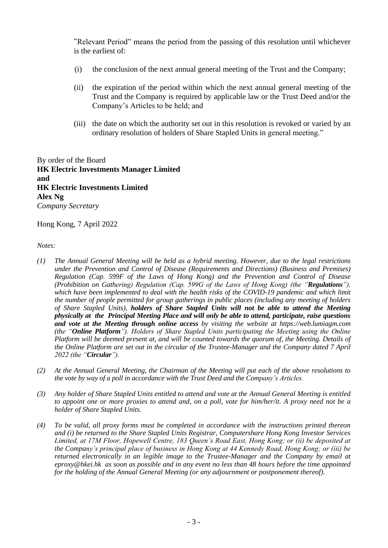"Relevant Period" means the period from the passing of this resolution until whichever is the earliest of:

- (i) the conclusion of the next annual general meeting of the Trust and the Company;
- (ii) the expiration of the period within which the next annual general meeting of the Trust and the Company is required by applicable law or the Trust Deed and/or the Company's Articles to be held; and
- (iii) the date on which the authority set out in this resolution is revoked or varied by an ordinary resolution of holders of Share Stapled Units in general meeting."

By order of the Board **HK Electric Investments Manager Limited and HK Electric Investments Limited Alex Ng** *Company Secretary*

Hong Kong, 7 April 2022

*Notes:*

- *(1) The Annual General Meeting will be held as a hybrid meeting. However, due to the legal restrictions under the Prevention and Control of Disease (Requirements and Directions) (Business and Premises) Regulation (Cap. 599F of the Laws of Hong Kong) and the Prevention and Control of Disease (Prohibition on Gathering) Regulation (Cap. 599G of the Laws of Hong Kong) (the "Regulations"),*  which have been implemented to deal with the health risks of the COVID-19 pandemic and which limit *the number of people permitted for group gatherings in public places (including any meeting of holders of Share Stapled Units), holders of Share Stapled Units will not be able to attend the Meeting physically at the Principal Meeting Place and will only be able to attend, participate, raise questions and vote at the Meeting through online access by visiting the website at https://web.lumiagm.com (the "Online Platform"). Holders of Share Stapled Units participating the Meeting using the Online Platform will be deemed present at, and will be counted towards the quorum of, the Meeting. Details of the Online Platform are set out in the circular of the Trustee-Manager and the Company dated 7 April 2022 (the "Circular").*
- *(2) At the Annual General Meeting, the Chairman of the Meeting will put each of the above resolutions to the vote by way of a poll in accordance with the Trust Deed and the Company's Articles.*
- *(3) Any holder of Share Stapled Units entitled to attend and vote at the Annual General Meeting is entitled to appoint one or more proxies to attend and, on a poll, vote for him/her/it. A proxy need not be a holder of Share Stapled Units.*
- *(4) To be valid, all proxy forms must be completed in accordance with the instructions printed thereon and (i) be returned to the Share Stapled Units Registrar, Computershare Hong Kong Investor Services Limited, at 17M Floor, Hopewell Centre, 183 Queen's Road East, Hong Kong; or (ii) be deposited at the Company's principal place of business in Hong Kong at 44 Kennedy Road, Hong Kong; or (iii) be returned electronically in an legible image to the Trustee-Manager and the Company by email at eproxy@hkei.hk as soon as possible and in any event no less than 48 hours before the time appointed for the holding of the Annual General Meeting (or any adjournment or postponement thereof).*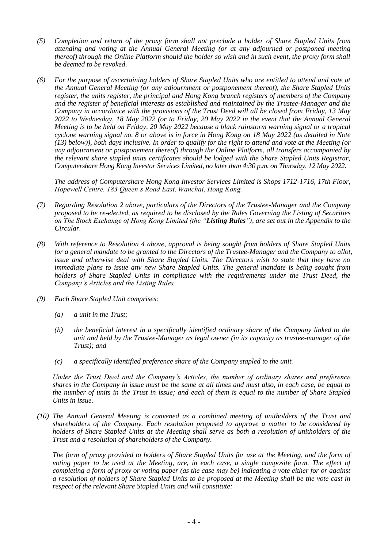- *(5) Completion and return of the proxy form shall not preclude a holder of Share Stapled Units from attending and voting at the Annual General Meeting (or at any adjourned or postponed meeting thereof) through the Online Platform should the holder so wish and in such event, the proxy form shall be deemed to be revoked.*
- *(6) For the purpose of ascertaining holders of Share Stapled Units who are entitled to attend and vote at the Annual General Meeting (or any adjournment or postponement thereof), the Share Stapled Units register, the units register, the principal and Hong Kong branch registers of members of the Company and the register of beneficial interests as established and maintained by the Trustee-Manager and the Company in accordance with the provisions of the Trust Deed will all be closed from Friday, 13 May 2022 to Wednesday, 18 May 2022 (or to Friday, 20 May 2022 in the event that the Annual General Meeting is to be held on Friday, 20 May 2022 because a black rainstorm warning signal or a tropical cyclone warning signal no. 8 or above is in force in Hong Kong on 18 May 2022 (as detailed in Note (13) below)), both days inclusive. In order to qualify for the right to attend and vote at the Meeting (or any adjournment or postponement thereof) through the Online Platform, all transfers accompanied by the relevant share stapled units certificates should be lodged with the Share Stapled Units Registrar, Computershare Hong Kong Investor Services Limited, no later than 4:30 p.m. on Thursday, 12 May 2022.*

*The address of Computershare Hong Kong Investor Services Limited is Shops 1712-1716, 17th Floor, Hopewell Centre, 183 Queen's Road East, Wanchai, Hong Kong.*

- *(7) Regarding Resolution 2 above, particulars of the Directors of the Trustee-Manager and the Company proposed to be re-elected, as required to be disclosed by the Rules Governing the Listing of Securities on The Stock Exchange of Hong Kong Limited (the "Listing Rules"), are set out in the Appendix to the Circular.*
- *(8) With reference to Resolution 4 above, approval is being sought from holders of Share Stapled Units for a general mandate to be granted to the Directors of the Trustee-Manager and the Company to allot, issue and otherwise deal with Share Stapled Units. The Directors wish to state that they have no immediate plans to issue any new Share Stapled Units. The general mandate is being sought from holders of Share Stapled Units in compliance with the requirements under the Trust Deed, the Company's Articles and the Listing Rules.*
- *(9) Each Share Stapled Unit comprises:*
	- *(a) a unit in the Trust;*
	- *(b) the beneficial interest in a specifically identified ordinary share of the Company linked to the unit and held by the Trustee-Manager as legal owner (in its capacity as trustee-manager of the Trust); and*
	- *(c) a specifically identified preference share of the Company stapled to the unit.*

*Under the Trust Deed and the Company's Articles, the number of ordinary shares and preference shares in the Company in issue must be the same at all times and must also, in each case, be equal to the number of units in the Trust in issue; and each of them is equal to the number of Share Stapled Units in issue.*

*(10) The Annual General Meeting is convened as a combined meeting of unitholders of the Trust and shareholders of the Company. Each resolution proposed to approve a matter to be considered by holders of Share Stapled Units at the Meeting shall serve as both a resolution of unitholders of the Trust and a resolution of shareholders of the Company.*

*The form of proxy provided to holders of Share Stapled Units for use at the Meeting, and the form of voting paper to be used at the Meeting, are, in each case, a single composite form. The effect of completing a form of proxy or voting paper (as the case may be) indicating a vote either for or against a resolution of holders of Share Stapled Units to be proposed at the Meeting shall be the vote cast in respect of the relevant Share Stapled Units and will constitute:*